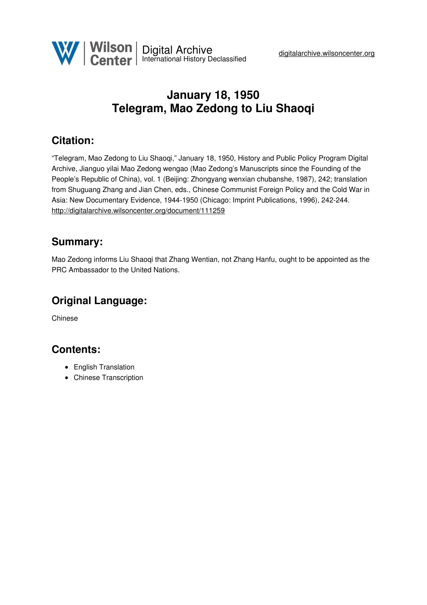

# **January 18, 1950 Telegram, Mao Zedong to Liu Shaoqi**

## **Citation:**

"Telegram, Mao Zedong to Liu Shaoqi," January 18, 1950, History and Public Policy Program Digital Archive, Jianguo yilai Mao Zedong wengao (Mao Zedong's Manuscripts since the Founding of the People's Republic of China), vol. 1 (Beijing: Zhongyang wenxian chubanshe, 1987), 242; translation from Shuguang Zhang and Jian Chen, eds., Chinese Communist Foreign Policy and the Cold War in Asia: New Documentary Evidence, 1944-1950 (Chicago: Imprint Publications, 1996), 242-244. <http://digitalarchive.wilsoncenter.org/document/111259>

#### **Summary:**

Mao Zedong informs Liu Shaoqi that Zhang Wentian, not Zhang Hanfu, ought to be appointed as the PRC Ambassador to the United Nations.

## **Original Language:**

Chinese

#### **Contents:**

- English Translation
- Chinese Transcription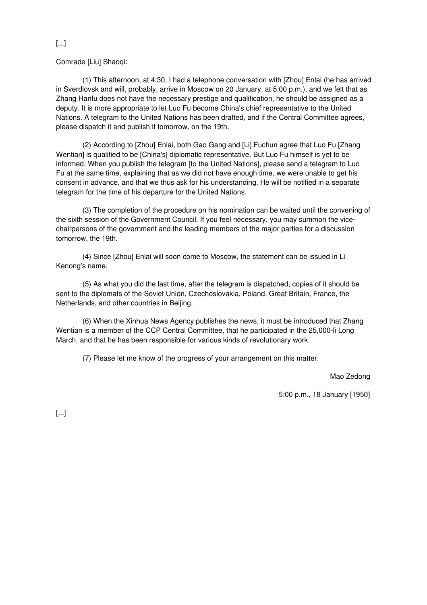#### [...]

Comrade [Liu] Shaoqi:

(1) This afternoon, at 4:30, I had a telephone conversation with [Zhou] Enlai (he has arrived in Sverdlovsk and will, probably, arrive in Moscow on 20 January, at 5:00 p.m.), and we felt that as Zhang Hanfu does not have the necessary prestige and qualification, he should be assigned as a deputy. It is more appropriate to let Luo Fu become China's chief representative to the United Nations. A telegram to the United Nations has been drafted, and if the Central Committee agrees, please dispatch it and publish it tomorrow, on the 19th.

(2) According to [Zhou] Enlai, both Gao Gang and [Li] Fuchun agree that Luo Fu [Zhang Wentian] is qualified to be [China's] diplomatic representative. But Luo Fu himself is yet to be informed. When you publish the telegram [to the United Nations], please send a telegram to Luo Fu at the same time, explaining that as we did not have enough time, we were unable to get his consent in advance, and that we thus ask for his understanding. He will be notified in a separate telegram for the time of his departure for the United Nations.

(3) The completion of the procedure on his nomination can be waited until the convening of the sixth session of the Government Council. If you feel necessary, you may summon the vicechairpersons of the government and the leading members of the major parties for a discussion tomorrow, the 19th.

(4) Since [Zhou] Enlai will soon come to Moscow, the statement can be issued in Li Kenong's name.

(5) As what you did the last time, after the telegram is dispatched, copies of it should be sent to the diplomats of the Soviet Union, Czechoslovakia, Poland, Great Britain, France, the Netherlands, and other countries in Beijing.

(6) When the Xinhua News Agency publishes the news, it must be introduced that Zhang Wentian is a member of the CCP Central Committee, that he participated in the 25,000-li Long March, and that he has been responsible for various kinds of revolutionary work.

(7) Please let me know of the progress of your arrangement on this matter.

Mao Zedong

5:00 p.m., 18 January [1950]

[...]